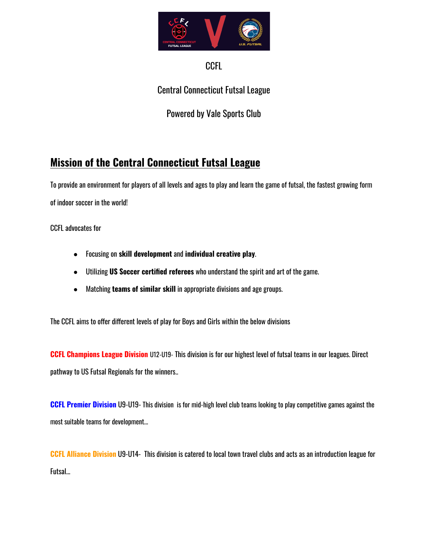

### CCFL

Central Connecticut Futsal League

Powered by Vale Sports Club

# **Mission of the Central Connecticut Futsal League**

To provide an environment for players of all levels and ages to play and learn the game of futsal, the fastest growing form of indoor soccer in the world!

CCFL advocates for

- Focusing on **skill development** and **individual creative play**.
- Utilizing **US Soccer certified referees** who understand the spirit and art of the game.
- Matching **teams of similar skill** in appropriate divisions and age groups.

The CCFL aims to offer different levels of play for Boys and Girls within the below divisions

**CCFL Champions League Division** U12-U19- This division is for our highest level of futsal teams in our leagues. Direct pathway to US Futsal Regionals for the winners..

**CCFL Premier Division** U9-U19- This division is for mid-high level club teams looking to play competitive games against the most suitable teams for development...

**CCFL Alliance Division** U9-U14- This division is catered to local town travel clubs and acts as an introduction league for Futsal...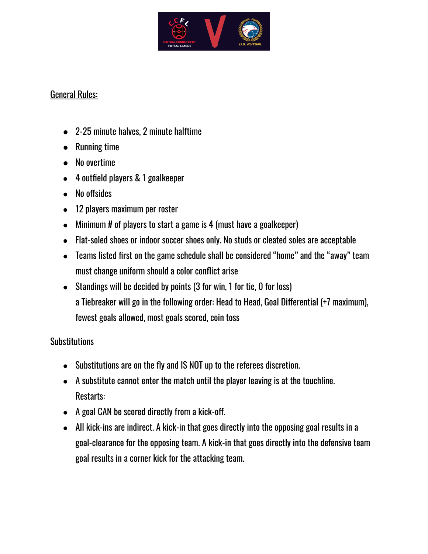

### General Rules:

- 2-25 minute halves, 2 minute halftime
- Running time
- No overtime
- 4 outfield players & 1 goalkeeper
- No offsides
- 12 players maximum per roster
- Minimum # of players to start a game is 4 (must have a goalkeeper)
- Flat-soled shoes or indoor soccer shoes only. No studs or cleated soles are acceptable
- Teams listed first on the game schedule shall be considered "home" and the "away" team must change uniform should a color conflict arise
- Standings will be decided by points (3 for win, 1 for tie, 0 for loss) a Tiebreaker will go in the following order: Head to Head, Goal Differential (+7 maximum), fewest goals allowed, most goals scored, coin toss

# **Substitutions**

- Substitutions are on the fly and IS NOT up to the referees discretion.
- A substitute cannot enter the match until the player leaving is at the touchline. Restarts:
- A goal CAN be scored directly from a kick-off.
- All kick-ins are indirect. A kick-in that goes directly into the opposing goal results in a goal-clearance for the opposing team. A kick-in that goes directly into the defensive team goal results in a corner kick for the attacking team.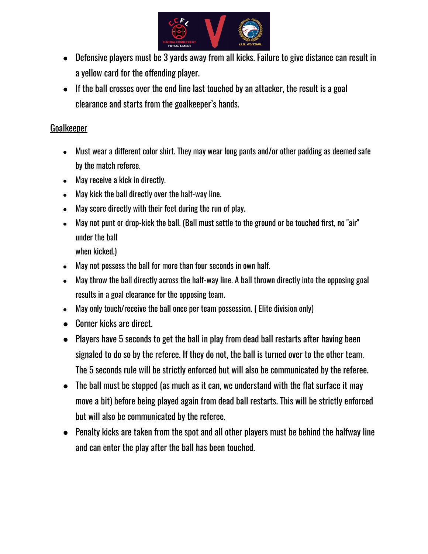

- Defensive players must be 3 yards away from all kicks. Failure to give distance can result in a yellow card for the offending player.
- If the ball crosses over the end line last touched by an attacker, the result is a goal clearance and starts from the goalkeeper's hands.

#### Goalkeeper

- Must wear a different color shirt. They may wear long pants and/or other padding as deemed safe by the match referee.
- May receive a kick in directly.
- May kick the ball directly over the half-way line.
- May score directly with their feet during the run of play.
- May not punt or drop-kick the ball. (Ball must settle to the ground or be touched first, no "air" under the ball

when kicked.)

- May not possess the ball for more than four seconds in own half.
- May throw the ball directly across the half-way line. A ball thrown directly into the opposing goal results in a goal clearance for the opposing team.
- May only touch/receive the ball once per team possession. (Elite division only)
- Corner kicks are direct.
- Players have 5 seconds to get the ball in play from dead ball restarts after having been signaled to do so by the referee. If they do not, the ball is turned over to the other team. The 5 seconds rule will be strictly enforced but will also be communicated by the referee.
- The ball must be stopped (as much as it can, we understand with the flat surface it may move a bit) before being played again from dead ball restarts. This will be strictly enforced but will also be communicated by the referee.
- Penalty kicks are taken from the spot and all other players must be behind the halfway line and can enter the play after the ball has been touched.